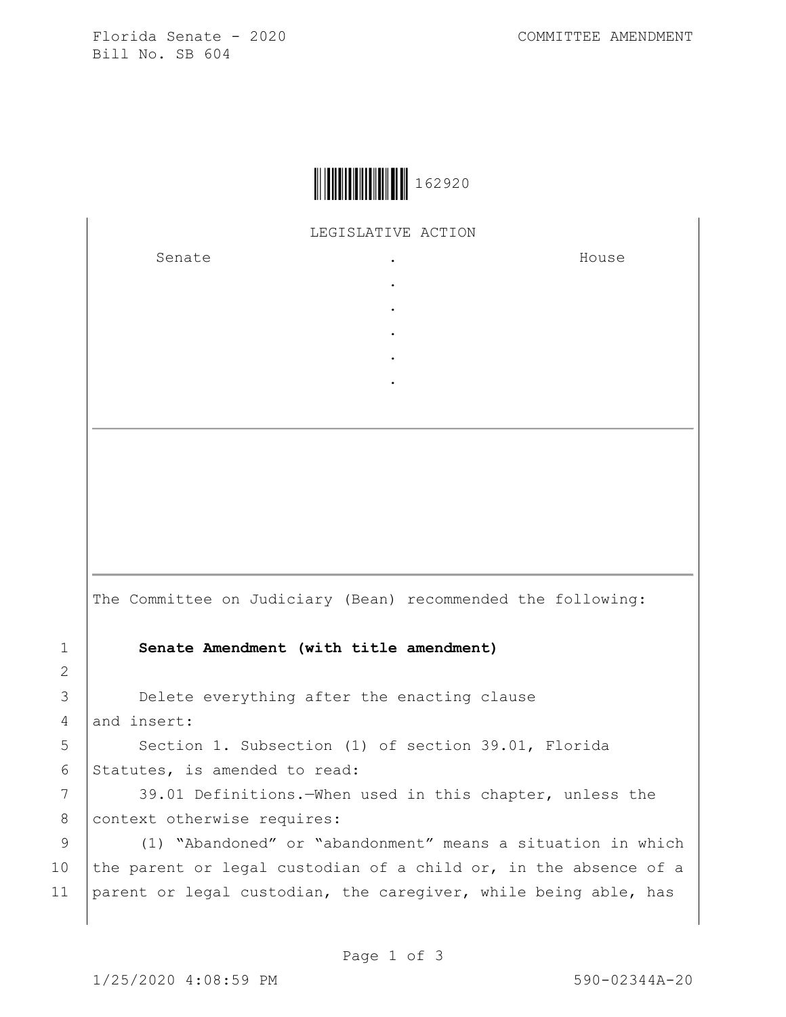Florida Senate - 2020 COMMITTEE AMENDMENT Bill No. SB 604



LEGISLATIVE ACTION

. . . . .

Senate the senate of the senate of the senate of  $\mathbf{S}$ 

House

1 **Senate Amendment (with title amendment)** 3 Delete everything after the enacting clause  $4$  and insert: 5 Section 1. Subsection (1) of section 39.01, Florida 6 Statutes, is amended to read:

The Committee on Judiciary (Bean) recommended the following:

7 39.01 Definitions.—When used in this chapter, unless the 8 context otherwise requires:

9 (1) "Abandoned" or "abandonment" means a situation in which 10 the parent or legal custodian of a child or, in the absence of a 11 parent or legal custodian, the caregiver, while being able, has

2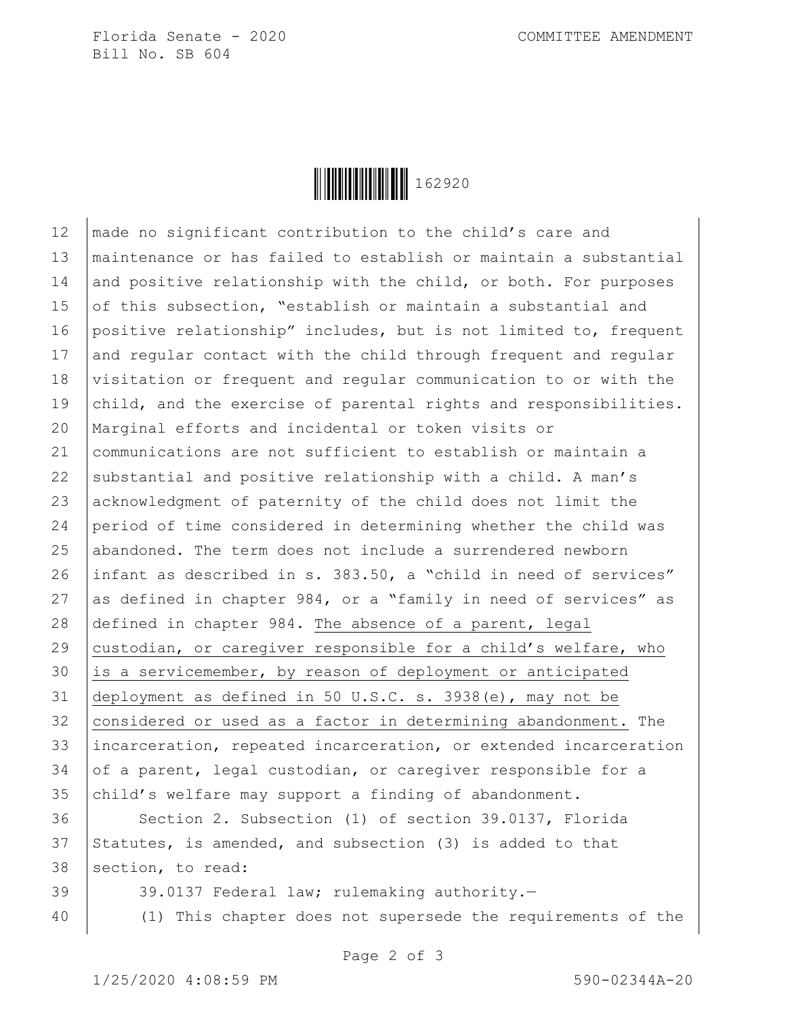Florida Senate - 2020 COMMITTEE AMENDMENT Bill No. SB 604

**││││││││││││││││** 162920

12 | made no significant contribution to the child's care and 13 maintenance or has failed to establish or maintain a substantial 14 and positive relationship with the child, or both. For purposes 15 of this subsection, "establish or maintain a substantial and 16 positive relationship" includes, but is not limited to, frequent 17 and regular contact with the child through frequent and regular 18 visitation or frequent and regular communication to or with the 19 child, and the exercise of parental rights and responsibilities. 20 Marginal efforts and incidental or token visits or 21 communications are not sufficient to establish or maintain a 22 substantial and positive relationship with a child. A man's 23 acknowledgment of paternity of the child does not limit the 24 period of time considered in determining whether the child was 25 abandoned. The term does not include a surrendered newborn 26 infant as described in s. 383.50, a "child in need of services" 27 as defined in chapter  $984$ , or a "family in need of services" as 28 defined in chapter 984. The absence of a parent, legal 29 custodian, or caregiver responsible for a child's welfare, who  $30$  is a servicemember, by reason of deployment or anticipated 31 deployment as defined in 50 U.S.C. s. 3938(e), may not be  $32$  considered or used as a factor in determining abandonment. The 33 incarceration, repeated incarceration, or extended incarceration 34 of a parent, legal custodian, or caregiver responsible for a 35 child's welfare may support a finding of abandonment.

36 Section 2. Subsection (1) of section 39.0137, Florida  $37$  Statutes, is amended, and subsection (3) is added to that 38 section, to read:

39 39.0137 Federal law; rulemaking authority.—

40 (1) This chapter does not supersede the requirements of the